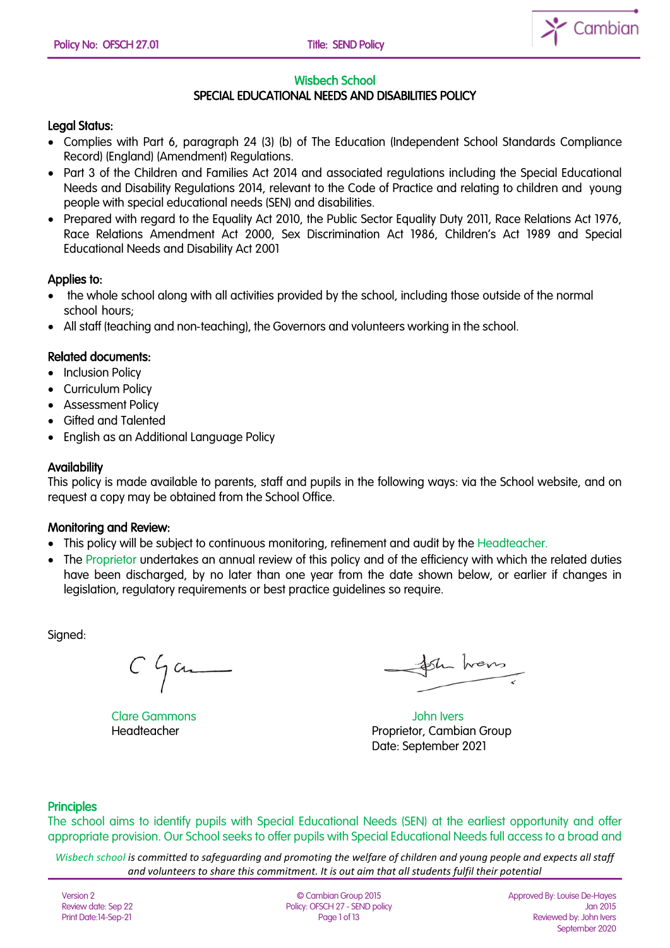

#### Wisbech School

# SPECIAL EDUCATIONAL NEEDS AND DISABILITIES POLICY

### Legal Status:

- Complies with Part 6, paragraph 24 (3) (b) of The Education (Independent School Standards Compliance Record) (England) (Amendment) Regulations.
- Part 3 of the Children and Families Act 2014 and associated regulations including the Special Educational Needs and Disability Regulations 2014, relevant to the Code of Practice and relating to children and young people with special educational needs (SEN) and disabilities.
- Prepared with regard to the Equality Act 2010, the Public Sector Equality Duty 2011, Race Relations Act 1976, Race Relations Amendment Act 2000, Sex Discrimination Act 1986, Children's Act 1989 and Special Educational Needs and Disability Act 2001

### Applies to:

- the whole school along with all activities provided by the school, including those outside of the normal school hours;
- All staff (teaching and non-teaching), the Governors and volunteers working in the school.

### Related documents:

- Inclusion Policy
- Curriculum Policy
- Assessment Policy
- Gifted and Talented
- English as an Additional Language Policy

### **Availability**

This policy is made available to parents, staff and pupils in the following ways: via the School website, and on request a copy may be obtained from the School Office.

#### Monitoring and Review:

- This policy will be subject to continuous monitoring, refinement and audit by the Headteacher.
- The Proprietor undertakes an annual review of this policy and of the efficiency with which the related duties have been discharged, by no later than one year from the date shown below, or earlier if changes in legislation, regulatory requirements or best practice guidelines so require.

Signed:

 $C$   $\int$  and

the hans

Clare Gammons John Ivers Headteacher **Proprietor, Cambian Group** Date: September 2021

#### **Principles**

The school aims to identify pupils with Special Educational Needs (SEN) at the earliest opportunity and offer appropriate provision. Our School seeks to offer pupils with Special Educational Needs full access to a broad and

*Wisbech school is committed to safeguarding and promoting the welfare of children and young people and expects all staff and volunteers to share this commitment. It is out aim that all students fulfil their potential*

Version 2 Review date: Sep 22 Print Date:14-Sep-21

© Cambian Group 2015 Policy: OFSCH 27 - SEND policy Page 1 of 13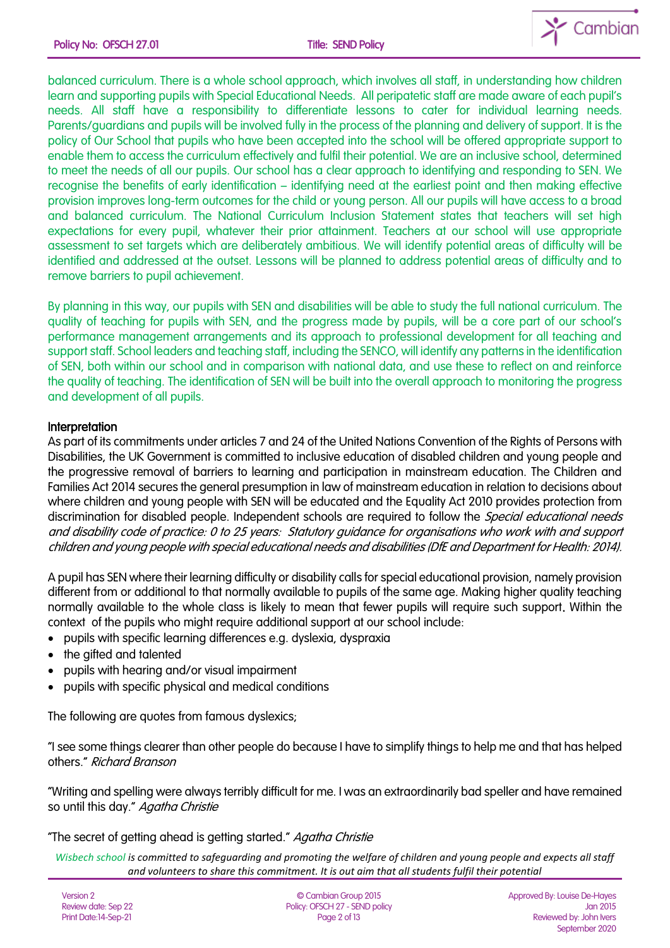

balanced curriculum. There is a whole school approach, which involves all staff, in understanding how children learn and supporting pupils with Special Educational Needs. All peripatetic staff are made aware of each pupil's needs. All staff have a responsibility to differentiate lessons to cater for individual learning needs. Parents/guardians and pupils will be involved fully in the process of the planning and delivery of support. It is the policy of Our School that pupils who have been accepted into the school will be offered appropriate support to enable them to access the curriculum effectively and fulfil their potential. We are an inclusive school, determined to meet the needs of all our pupils. Our school has a clear approach to identifying and responding to SEN. We recognise the benefits of early identification – identifying need at the earliest point and then making effective provision improves long-term outcomes for the child or young person. All our pupils will have access to a broad and balanced curriculum. The National Curriculum Inclusion Statement states that teachers will set high expectations for every pupil, whatever their prior attainment. Teachers at our school will use appropriate assessment to set targets which are deliberately ambitious. We will identify potential areas of difficulty will be identified and addressed at the outset. Lessons will be planned to address potential areas of difficulty and to remove barriers to pupil achievement.

By planning in this way, our pupils with SEN and disabilities will be able to study the full national curriculum. The quality of teaching for pupils with SEN, and the progress made by pupils, will be a core part of our school's performance management arrangements and its approach to professional development for all teaching and support staff. School leaders and teaching staff, including the SENCO, will identify any patterns in the identification of SEN, both within our school and in comparison with national data, and use these to reflect on and reinforce the quality of teaching. The identification of SEN will be built into the overall approach to monitoring the progress and development of all pupils.

## **Interpretation**

As part of its commitments under articles 7 and 24 of the United Nations Convention of the Rights of Persons with Disabilities, the UK Government is committed to inclusive education of disabled children and young people and the progressive removal of barriers to learning and participation in mainstream education. The Children and Families Act 2014 secures the general presumption in law of mainstream education in relation to decisions about where children and young people with SEN will be educated and the Equality Act 2010 provides protection from discrimination for disabled people. Independent schools are required to follow the *Special educational needs* and disability code of practice: 0 to 25 years: Statutory guidance for organisations who work with and support children and young people with special educational needs and disabilities (DfE and Department for Health: 2014).

A pupil has SEN where their learning difficulty or disability calls for special educational provision, namely provision different from or additional to that normally available to pupils of the same age. Making higher quality teaching normally available to the whole class is likely to mean that fewer pupils will require such support. Within the context of the pupils who might require additional support at our school include:

- pupils with specific learning differences e.g. dyslexia, dyspraxia
- the aifted and talented
- pupils with hearing and/or visual impairment
- pupils with specific physical and medical conditions

The following are quotes from famous dyslexics;

"I see some things clearer than other people do because I have to simplify things to help me and that has helped others." Richard Branson

"Writing and spelling were always terribly difficult for me. I was an extraordinarily bad speller and have remained so until this day." Agatha Christie

## "The secret of getting ahead is getting started." Agatha Christie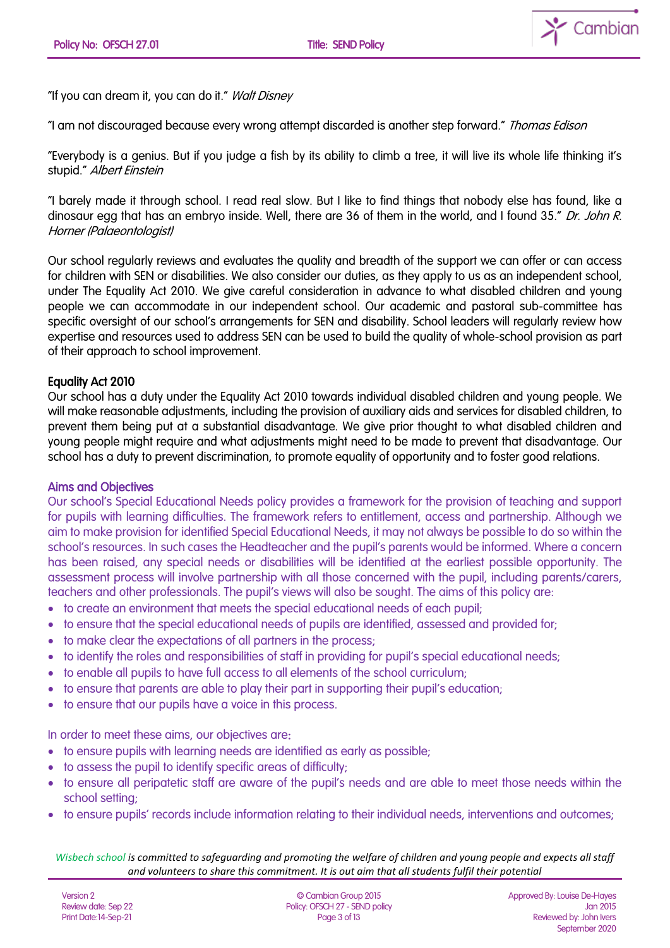

"If you can dream it, you can do it." Walt Disney

"I am not discouraged because every wrong attempt discarded is another step forward." Thomas Edison

"Everybody is a genius. But if you judge a fish by its ability to climb a tree, it will live its whole life thinking it's stupid." Albert Einstein

"I barely made it through school. I read real slow. But I like to find things that nobody else has found, like a dinosaur egg that has an embryo inside. Well, there are 36 of them in the world, and I found 35." Dr. John R. Horner (Palaeontologist)

Our school regularly reviews and evaluates the quality and breadth of the support we can offer or can access for children with SEN or disabilities. We also consider our duties, as they apply to us as an independent school, under The Equality Act 2010. We give careful consideration in advance to what disabled children and young people we can accommodate in our independent school. Our academic and pastoral sub-committee has specific oversight of our school's arrangements for SEN and disability. School leaders will regularly review how expertise and resources used to address SEN can be used to build the quality of whole-school provision as part of their approach to school improvement.

## Equality Act 2010

Our school has a duty under the Equality Act 2010 towards individual disabled children and young people. We will make reasonable adjustments, including the provision of auxiliary aids and services for disabled children, to prevent them being put at a substantial disadvantage. We give prior thought to what disabled children and young people might require and what adjustments might need to be made to prevent that disadvantage. Our school has a duty to prevent discrimination, to promote equality of opportunity and to foster good relations.

## Aims and Objectives

Our school's Special Educational Needs policy provides a framework for the provision of teaching and support for pupils with learning difficulties. The framework refers to entitlement, access and partnership. Although we aim to make provision for identified Special Educational Needs, it may not always be possible to do so within the school's resources. In such cases the Headteacher and the pupil's parents would be informed. Where a concern has been raised, any special needs or disabilities will be identified at the earliest possible opportunity. The assessment process will involve partnership with all those concerned with the pupil, including parents/carers, teachers and other professionals. The pupil's views will also be sought. The aims of this policy are:

- to create an environment that meets the special educational needs of each pupil;
- to ensure that the special educational needs of pupils are identified, assessed and provided for;
- to make clear the expectations of all partners in the process;
- to identify the roles and responsibilities of staff in providing for pupil's special educational needs;
- to enable all pupils to have full access to all elements of the school curriculum;
- to ensure that parents are able to play their part in supporting their pupil's education;
- to ensure that our pupils have a voice in this process.

In order to meet these aims, our objectives are:

- to ensure pupils with learning needs are identified as early as possible;
- to assess the pupil to identify specific areas of difficulty;
- to ensure all peripatetic staff are aware of the pupil's needs and are able to meet those needs within the school setting;
- to ensure pupils' records include information relating to their individual needs, interventions and outcomes;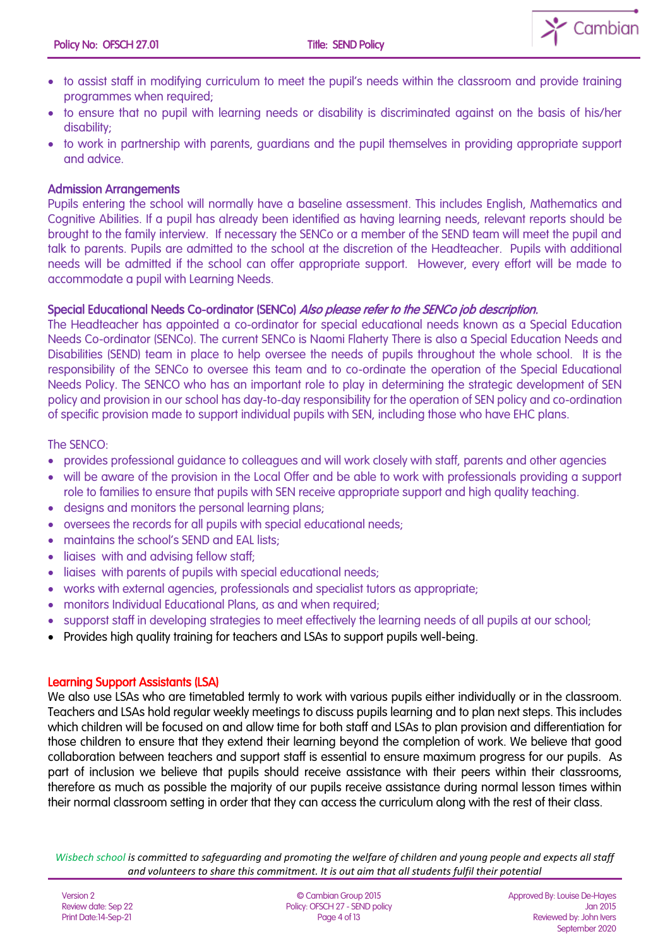

- to assist staff in modifying curriculum to meet the pupil's needs within the classroom and provide training programmes when required;
- to ensure that no pupil with learning needs or disability is discriminated against on the basis of his/her disability;
- to work in partnership with parents, guardians and the pupil themselves in providing appropriate support and advice.

## Admission Arrangements

Pupils entering the school will normally have a baseline assessment. This includes English, Mathematics and Cognitive Abilities. If a pupil has already been identified as having learning needs, relevant reports should be brought to the family interview. If necessary the SENCo or a member of the SEND team will meet the pupil and talk to parents. Pupils are admitted to the school at the discretion of the Headteacher. Pupils with additional needs will be admitted if the school can offer appropriate support. However, every effort will be made to accommodate a pupil with Learning Needs.

### Special Educational Needs Co-ordinator (SENCo) Also please refer to the SENCo job description.

The Headteacher has appointed a co-ordinator for special educational needs known as a Special Education Needs Co-ordinator (SENCo). The current SENCo is Naomi Flaherty There is also a Special Education Needs and Disabilities (SEND) team in place to help oversee the needs of pupils throughout the whole school. It is the responsibility of the SENCo to oversee this team and to co-ordinate the operation of the Special Educational Needs Policy. The SENCO who has an important role to play in determining the strategic development of SEN policy and provision in our school has day-to-day responsibility for the operation of SEN policy and co-ordination of specific provision made to support individual pupils with SEN, including those who have EHC plans.

### The SENCO:

- provides professional guidance to colleagues and will work closely with staff, parents and other agencies
- will be aware of the provision in the Local Offer and be able to work with professionals providing a support role to families to ensure that pupils with SEN receive appropriate support and high quality teaching.
- designs and monitors the personal learning plans;
- oversees the records for all pupils with special educational needs;
- maintains the school's SEND and EAL lists;
- liaises with and advising fellow staff;
- liaises with parents of pupils with special educational needs;
- works with external agencies, professionals and specialist tutors as appropriate;
- monitors Individual Educational Plans, as and when required;
- supporst staff in developing strategies to meet effectively the learning needs of all pupils at our school;
- Provides high quality training for teachers and LSAs to support pupils well-being.

#### Learning Support Assistants (LSA)

We also use LSAs who are timetabled termly to work with various pupils either individually or in the classroom. Teachers and LSAs hold regular weekly meetings to discuss pupils learning and to plan next steps. This includes which children will be focused on and allow time for both staff and LSAs to plan provision and differentiation for those children to ensure that they extend their learning beyond the completion of work. We believe that good collaboration between teachers and support staff is essential to ensure maximum progress for our pupils. As part of inclusion we believe that pupils should receive assistance with their peers within their classrooms, therefore as much as possible the majority of our pupils receive assistance during normal lesson times within their normal classroom setting in order that they can access the curriculum along with the rest of their class.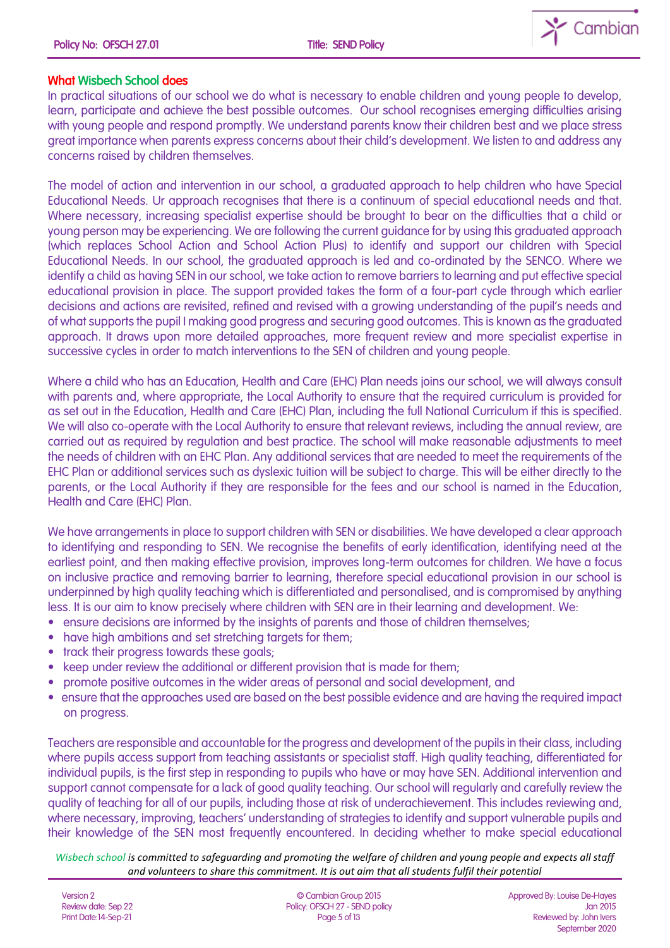

# What Wisbech School does

In practical situations of our school we do what is necessary to enable children and young people to develop, learn, participate and achieve the best possible outcomes. Our school recognises emerging difficulties arising with young people and respond promptly. We understand parents know their children best and we place stress great importance when parents express concerns about their child's development. We listen to and address any concerns raised by children themselves.

The model of action and intervention in our school, a graduated approach to help children who have Special Educational Needs. Ur approach recognises that there is a continuum of special educational needs and that. Where necessary, increasing specialist expertise should be brought to bear on the difficulties that a child or young person may be experiencing. We are following the current guidance for by using this graduated approach (which replaces School Action and School Action Plus) to identify and support our children with Special Educational Needs. In our school, the graduated approach is led and co-ordinated by the SENCO. Where we identify a child as having SEN in our school, we take action to remove barriers to learning and put effective special educational provision in place. The support provided takes the form of a four-part cycle through which earlier decisions and actions are revisited, refined and revised with a growing understanding of the pupil's needs and of what supports the pupil I making good progress and securing good outcomes. This is known as the graduated approach. It draws upon more detailed approaches, more frequent review and more specialist expertise in successive cycles in order to match interventions to the SEN of children and young people.

Where a child who has an Education, Health and Care (EHC) Plan needs joins our school, we will always consult with parents and, where appropriate, the Local Authority to ensure that the required curriculum is provided for as set out in the Education, Health and Care (EHC) Plan, including the full National Curriculum if this is specified. We will also co-operate with the Local Authority to ensure that relevant reviews, including the annual review, are carried out as required by regulation and best practice. The school will make reasonable adjustments to meet the needs of children with an EHC Plan. Any additional services that are needed to meet the requirements of the EHC Plan or additional services such as dyslexic tuition will be subject to charge. This will be either directly to the parents, or the Local Authority if they are responsible for the fees and our school is named in the Education, Health and Care (EHC) Plan.

We have arrangements in place to support children with SEN or disabilities. We have developed a clear approach to identifying and responding to SEN. We recognise the benefits of early identification, identifying need at the earliest point, and then making effective provision, improves long-term outcomes for children. We have a focus on inclusive practice and removing barrier to learning, therefore special educational provision in our school is underpinned by high quality teaching which is differentiated and personalised, and is compromised by anything less. It is our aim to know precisely where children with SEN are in their learning and development. We:

- ensure decisions are informed by the insights of parents and those of children themselves;
- have high ambitions and set stretching targets for them;
- track their progress towards these goals;
- keep under review the additional or different provision that is made for them;
- promote positive outcomes in the wider areas of personal and social development, and
- ensure that the approaches used are based on the best possible evidence and are having the required impact on progress.

Teachers are responsible and accountable for the progress and development of the pupils in their class, including where pupils access support from teaching assistants or specialist staff. High quality teaching, differentiated for individual pupils, is the first step in responding to pupils who have or may have SEN. Additional intervention and support cannot compensate for a lack of good quality teaching. Our school will regularly and carefully review the quality of teaching for all of our pupils, including those at risk of underachievement. This includes reviewing and, where necessary, improving, teachers' understanding of strategies to identify and support vulnerable pupils and their knowledge of the SEN most frequently encountered. In deciding whether to make special educational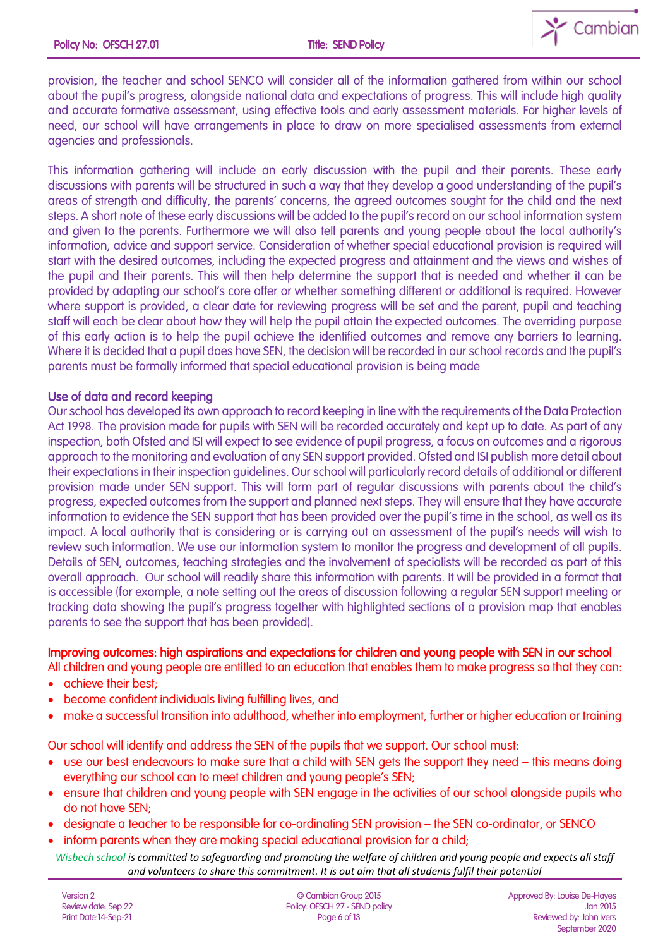

provision, the teacher and school SENCO will consider all of the information gathered from within our school about the pupil's progress, alongside national data and expectations of progress. This will include high quality and accurate formative assessment, using effective tools and early assessment materials. For higher levels of need, our school will have arrangements in place to draw on more specialised assessments from external agencies and professionals.

This information gathering will include an early discussion with the pupil and their parents. These early discussions with parents will be structured in such a way that they develop a good understanding of the pupil's areas of strength and difficulty, the parents' concerns, the agreed outcomes sought for the child and the next steps. A short note of these early discussions will be added to the pupil's record on our school information system and given to the parents. Furthermore we will also tell parents and young people about the local authority's information, advice and support service. Consideration of whether special educational provision is required will start with the desired outcomes, including the expected progress and attainment and the views and wishes of the pupil and their parents. This will then help determine the support that is needed and whether it can be provided by adapting our school's core offer or whether something different or additional is required. However where support is provided, a clear date for reviewing progress will be set and the parent, pupil and teaching staff will each be clear about how they will help the pupil attain the expected outcomes. The overriding purpose of this early action is to help the pupil achieve the identified outcomes and remove any barriers to learning. Where it is decided that a pupil does have SEN, the decision will be recorded in our school records and the pupil's parents must be formally informed that special educational provision is being made

# Use of data and record keeping

Our school has developed its own approach to record keeping in line with the requirements of the Data Protection Act 1998. The provision made for pupils with SEN will be recorded accurately and kept up to date. As part of any inspection, both Ofsted and ISI will expect to see evidence of pupil progress, a focus on outcomes and a rigorous approach to the monitoring and evaluation of any SEN support provided. Ofsted and ISI publish more detail about their expectations in their inspection guidelines. Our school will particularly record details of additional or different provision made under SEN support. This will form part of regular discussions with parents about the child's progress, expected outcomes from the support and planned next steps. They will ensure that they have accurate information to evidence the SEN support that has been provided over the pupil's time in the school, as well as its impact. A local authority that is considering or is carrying out an assessment of the pupil's needs will wish to review such information. We use our information system to monitor the progress and development of all pupils. Details of SEN, outcomes, teaching strategies and the involvement of specialists will be recorded as part of this overall approach. Our school will readily share this information with parents. It will be provided in a format that is accessible (for example, a note setting out the areas of discussion following a regular SEN support meeting or tracking data showing the pupil's progress together with highlighted sections of a provision map that enables parents to see the support that has been provided).

## Improving outcomes: high aspirations and expectations for children and young people with SEN in our school

- All children and young people are entitled to an education that enables them to make progress so that they can:
- achieve their best;
- become confident individuals living fulfilling lives, and
- make a successful transition into adulthood, whether into employment, further or higher education or training

Our school will identify and address the SEN of the pupils that we support. Our school must:

- use our best endeavours to make sure that a child with SEN gets the support they need this means doing everything our school can to meet children and young people's SEN;
- ensure that children and young people with SEN engage in the activities of our school alongside pupils who do not have SEN;
- designate a teacher to be responsible for co-ordinating SEN provision the SEN co-ordinator, or SENCO
- inform parents when they are making special educational provision for a child;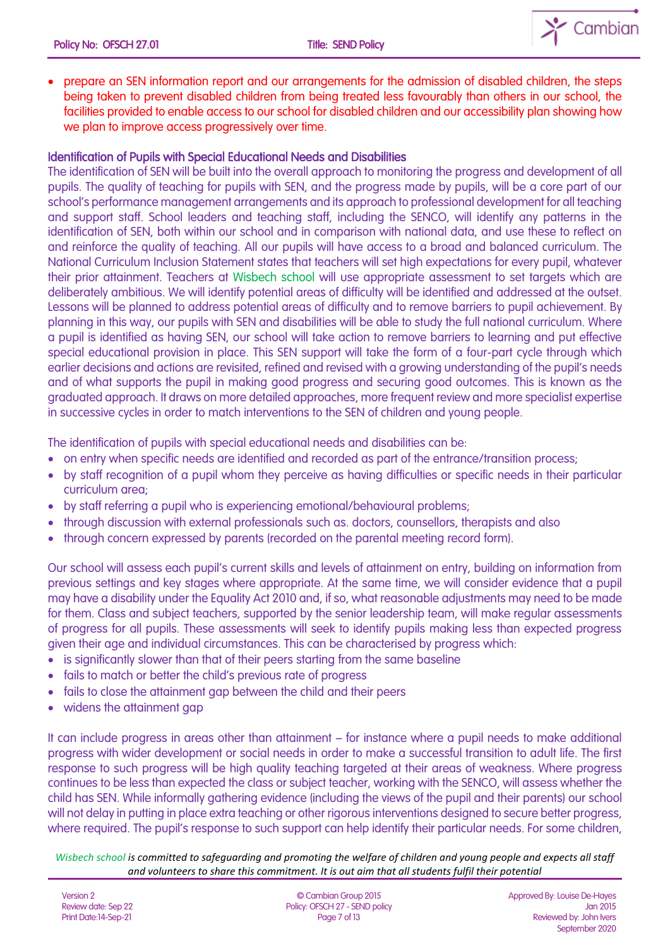

• prepare an SEN information report and our arrangements for the admission of disabled children, the steps being taken to prevent disabled children from being treated less favourably than others in our school, the facilities provided to enable access to our school for disabled children and our accessibility plan showing how we plan to improve access progressively over time.

# Identification of Pupils with Special Educational Needs and Disabilities

The identification of SEN will be built into the overall approach to monitoring the progress and development of all pupils. The quality of teaching for pupils with SEN, and the progress made by pupils, will be a core part of our school's performance management arrangements and its approach to professional development for all teaching and support staff. School leaders and teaching staff, including the SENCO, will identify any patterns in the identification of SEN, both within our school and in comparison with national data, and use these to reflect on and reinforce the quality of teaching. All our pupils will have access to a broad and balanced curriculum. The National Curriculum Inclusion Statement states that teachers will set high expectations for every pupil, whatever their prior attainment. Teachers at Wisbech school will use appropriate assessment to set targets which are deliberately ambitious. We will identify potential areas of difficulty will be identified and addressed at the outset. Lessons will be planned to address potential areas of difficulty and to remove barriers to pupil achievement. By planning in this way, our pupils with SEN and disabilities will be able to study the full national curriculum. Where a pupil is identified as having SEN, our school will take action to remove barriers to learning and put effective special educational provision in place. This SEN support will take the form of a four-part cycle through which earlier decisions and actions are revisited, refined and revised with a growing understanding of the pupil's needs and of what supports the pupil in making good progress and securing good outcomes. This is known as the graduated approach. It draws on more detailed approaches, more frequent review and more specialist expertise in successive cycles in order to match interventions to the SEN of children and young people.

The identification of pupils with special educational needs and disabilities can be:

- on entry when specific needs are identified and recorded as part of the entrance/transition process;
- by staff recognition of a pupil whom they perceive as having difficulties or specific needs in their particular curriculum area;
- by staff referring a pupil who is experiencing emotional/behavioural problems;
- through discussion with external professionals such as. doctors, counsellors, therapists and also
- through concern expressed by parents (recorded on the parental meeting record form).

Our school will assess each pupil's current skills and levels of attainment on entry, building on information from previous settings and key stages where appropriate. At the same time, we will consider evidence that a pupil may have a disability under the Equality Act 2010 and, if so, what reasonable adjustments may need to be made for them. Class and subject teachers, supported by the senior leadership team, will make regular assessments of progress for all pupils. These assessments will seek to identify pupils making less than expected progress given their age and individual circumstances. This can be characterised by progress which:

- is significantly slower than that of their peers starting from the same baseline
- fails to match or better the child's previous rate of progress
- fails to close the attainment gap between the child and their peers
- widens the attainment gap

It can include progress in areas other than attainment – for instance where a pupil needs to make additional progress with wider development or social needs in order to make a successful transition to adult life. The first response to such progress will be high quality teaching targeted at their areas of weakness. Where progress continues to be less than expected the class or subject teacher, working with the SENCO, will assess whether the child has SEN. While informally gathering evidence (including the views of the pupil and their parents) our school will not delay in putting in place extra teaching or other rigorous interventions designed to secure better progress, where required. The pupil's response to such support can help identify their particular needs. For some children,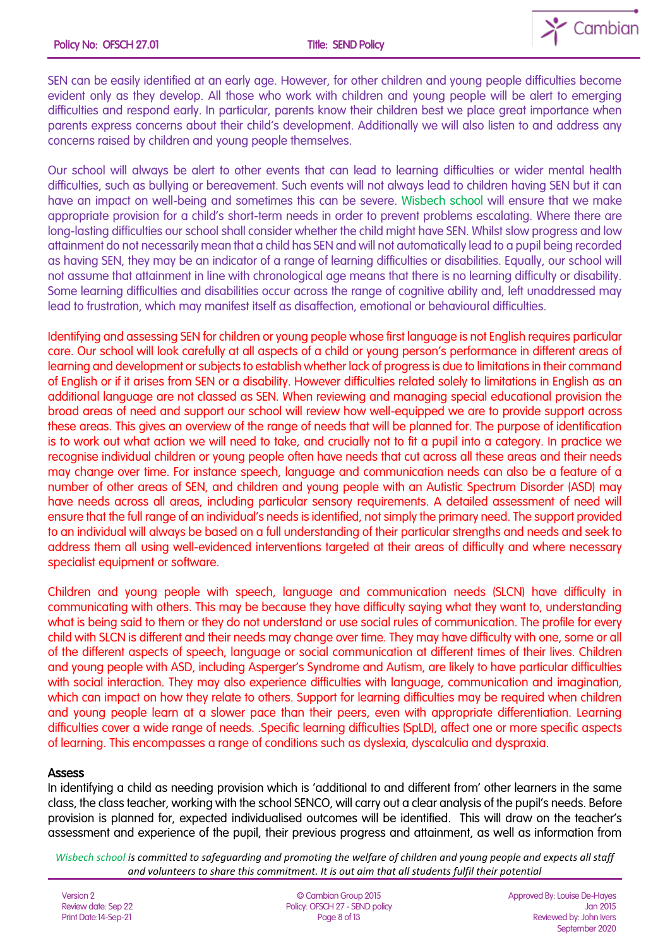

SEN can be easily identified at an early age. However, for other children and young people difficulties become evident only as they develop. All those who work with children and young people will be alert to emerging difficulties and respond early. In particular, parents know their children best we place great importance when parents express concerns about their child's development. Additionally we will also listen to and address any concerns raised by children and young people themselves.

Our school will always be alert to other events that can lead to learning difficulties or wider mental health difficulties, such as bullying or bereavement. Such events will not always lead to children having SEN but it can have an impact on well-being and sometimes this can be severe. Wisbech school will ensure that we make appropriate provision for a child's short-term needs in order to prevent problems escalating. Where there are long-lasting difficulties our school shall consider whether the child might have SEN. Whilst slow progress and low attainment do not necessarily mean that a child has SEN and will not automatically lead to a pupil being recorded as having SEN, they may be an indicator of a range of learning difficulties or disabilities. Equally, our school will not assume that attainment in line with chronological age means that there is no learning difficulty or disability. Some learning difficulties and disabilities occur across the range of cognitive ability and, left unaddressed may lead to frustration, which may manifest itself as disaffection, emotional or behavioural difficulties.

Identifying and assessing SEN for children or young people whose first language is not English requires particular care. Our school will look carefully at all aspects of a child or young person's performance in different areas of learning and development or subjects to establish whether lack of progress is due to limitations in their command of English or if it arises from SEN or a disability. However difficulties related solely to limitations in English as an additional language are not classed as SEN. When reviewing and managing special educational provision the broad areas of need and support our school will review how well-equipped we are to provide support across these areas. This gives an overview of the range of needs that will be planned for. The purpose of identification is to work out what action we will need to take, and crucially not to fit a pupil into a category. In practice we recognise individual children or young people often have needs that cut across all these areas and their needs may change over time. For instance speech, language and communication needs can also be a feature of a number of other areas of SEN, and children and young people with an Autistic Spectrum Disorder (ASD) may have needs across all areas, including particular sensory requirements. A detailed assessment of need will ensure that the full range of an individual's needs is identified, not simply the primary need. The support provided to an individual will always be based on a full understanding of their particular strengths and needs and seek to address them all using well-evidenced interventions targeted at their areas of difficulty and where necessary specialist equipment or software.

Children and young people with speech, language and communication needs (SLCN) have difficulty in communicating with others. This may be because they have difficulty saying what they want to, understanding what is being said to them or they do not understand or use social rules of communication. The profile for every child with SLCN is different and their needs may change over time. They may have difficulty with one, some or all of the different aspects of speech, language or social communication at different times of their lives. Children and young people with ASD, including Asperger's Syndrome and Autism, are likely to have particular difficulties with social interaction. They may also experience difficulties with language, communication and imagination, which can impact on how they relate to others. Support for learning difficulties may be required when children and young people learn at a slower pace than their peers, even with appropriate differentiation. Learning difficulties cover a wide range of needs. .Specific learning difficulties (SpLD), affect one or more specific aspects of learning. This encompasses a range of conditions such as dyslexia, dyscalculia and dyspraxia.

## Assess

In identifying a child as needing provision which is 'additional to and different from' other learners in the same class, the class teacher, working with the school SENCO, will carry out a clear analysis of the pupil's needs. Before provision is planned for, expected individualised outcomes will be identified. This will draw on the teacher's assessment and experience of the pupil, their previous progress and attainment, as well as information from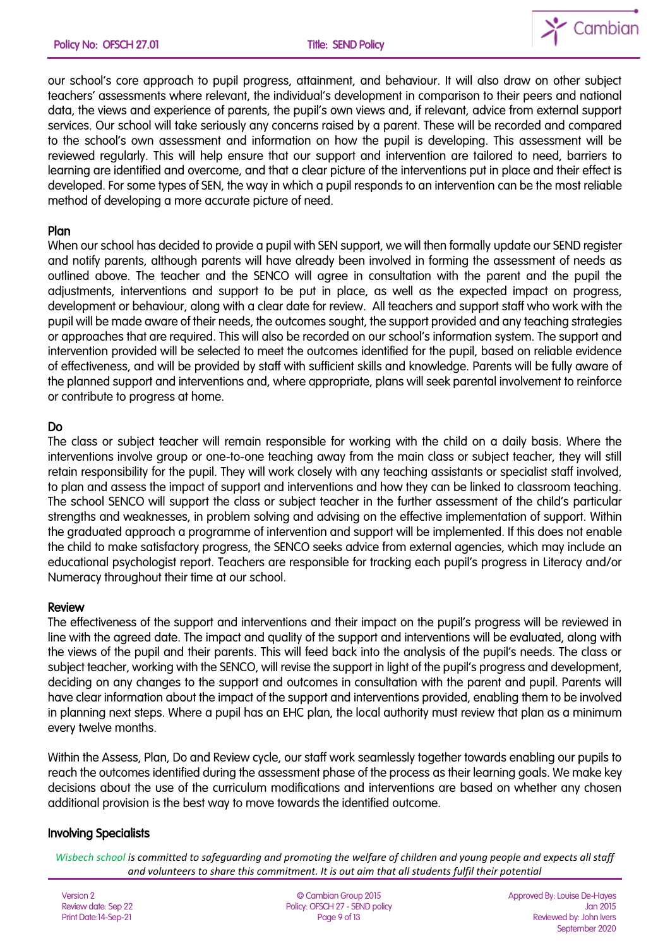

our school's core approach to pupil progress, attainment, and behaviour. It will also draw on other subject teachers' assessments where relevant, the individual's development in comparison to their peers and national data, the views and experience of parents, the pupil's own views and, if relevant, advice from external support services. Our school will take seriously any concerns raised by a parent. These will be recorded and compared to the school's own assessment and information on how the pupil is developing. This assessment will be reviewed regularly. This will help ensure that our support and intervention are tailored to need, barriers to learning are identified and overcome, and that a clear picture of the interventions put in place and their effect is developed. For some types of SEN, the way in which a pupil responds to an intervention can be the most reliable method of developing a more accurate picture of need.

# Plan

When our school has decided to provide a pupil with SEN support, we will then formally update our SEND register and notify parents, although parents will have already been involved in forming the assessment of needs as outlined above. The teacher and the SENCO will agree in consultation with the parent and the pupil the adjustments, interventions and support to be put in place, as well as the expected impact on progress, development or behaviour, along with a clear date for review. All teachers and support staff who work with the pupil will be made aware of their needs, the outcomes sought, the support provided and any teaching strategies or approaches that are required. This will also be recorded on our school's information system. The support and intervention provided will be selected to meet the outcomes identified for the pupil, based on reliable evidence of effectiveness, and will be provided by staff with sufficient skills and knowledge. Parents will be fully aware of the planned support and interventions and, where appropriate, plans will seek parental involvement to reinforce or contribute to progress at home.

# Do

The class or subject teacher will remain responsible for working with the child on a daily basis. Where the interventions involve group or one-to-one teaching away from the main class or subject teacher, they will still retain responsibility for the pupil. They will work closely with any teaching assistants or specialist staff involved, to plan and assess the impact of support and interventions and how they can be linked to classroom teaching. The school SENCO will support the class or subject teacher in the further assessment of the child's particular strengths and weaknesses, in problem solving and advising on the effective implementation of support. Within the graduated approach a programme of intervention and support will be implemented. If this does not enable the child to make satisfactory progress, the SENCO seeks advice from external agencies, which may include an educational psychologist report. Teachers are responsible for tracking each pupil's progress in Literacy and/or Numeracy throughout their time at our school.

#### Review

The effectiveness of the support and interventions and their impact on the pupil's progress will be reviewed in line with the agreed date. The impact and quality of the support and interventions will be evaluated, along with the views of the pupil and their parents. This will feed back into the analysis of the pupil's needs. The class or subject teacher, working with the SENCO, will revise the support in light of the pupil's progress and development, deciding on any changes to the support and outcomes in consultation with the parent and pupil. Parents will have clear information about the impact of the support and interventions provided, enabling them to be involved in planning next steps. Where a pupil has an EHC plan, the local authority must review that plan as a minimum every twelve months.

Within the Assess, Plan, Do and Review cycle, our staff work seamlessly together towards enabling our pupils to reach the outcomes identified during the assessment phase of the process as their learning goals. We make key decisions about the use of the curriculum modifications and interventions are based on whether any chosen additional provision is the best way to move towards the identified outcome.

# Involving Specialists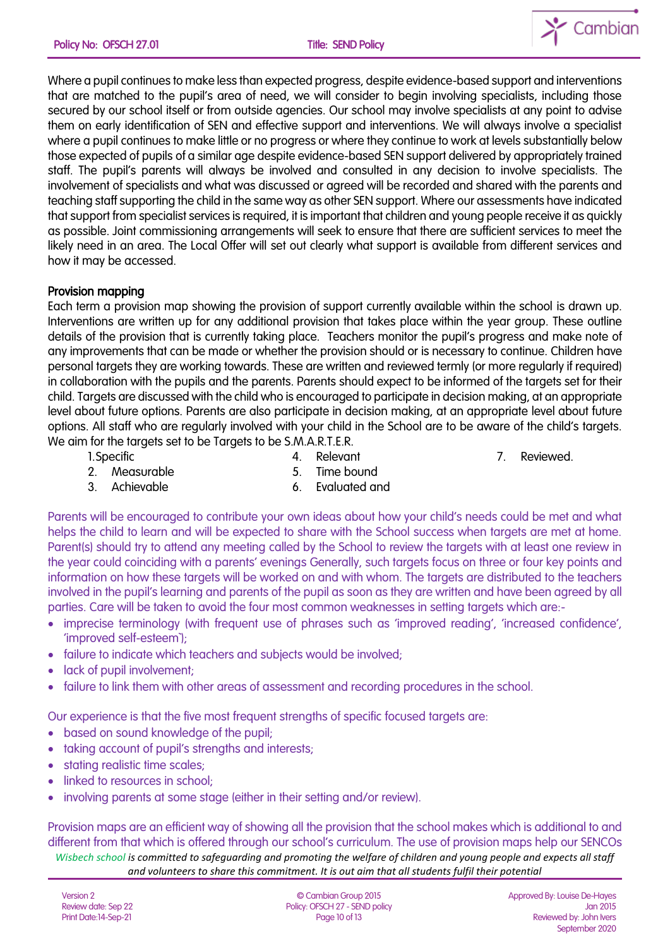

Where a pupil continues to make less than expected progress, despite evidence-based support and interventions that are matched to the pupil's area of need, we will consider to begin involving specialists, including those secured by our school itself or from outside agencies. Our school may involve specialists at any point to advise them on early identification of SEN and effective support and interventions. We will always involve a specialist where a pupil continues to make little or no progress or where they continue to work at levels substantially below those expected of pupils of a similar age despite evidence-based SEN support delivered by appropriately trained staff. The pupil's parents will always be involved and consulted in any decision to involve specialists. The involvement of specialists and what was discussed or agreed will be recorded and shared with the parents and teaching staff supporting the child in the same way as other SEN support. Where our assessments have indicated that support from specialist services is required, it is important that children and young people receive it as quickly as possible. Joint commissioning arrangements will seek to ensure that there are sufficient services to meet the likely need in an area. The Local Offer will set out clearly what support is available from different services and how it may be accessed.

# Provision mapping

Each term a provision map showing the provision of support currently available within the school is drawn up. Interventions are written up for any additional provision that takes place within the year group. These outline details of the provision that is currently taking place. Teachers monitor the pupil's progress and make note of any improvements that can be made or whether the provision should or is necessary to continue. Children have personal targets they are working towards. These are written and reviewed termly (or more regularly if required) in collaboration with the pupils and the parents. Parents should expect to be informed of the targets set for their child. Targets are discussed with the child who is encouraged to participate in decision making, at an appropriate level about future options. Parents are also participate in decision making, at an appropriate level about future options. All staff who are regularly involved with your child in the School are to be aware of the child's targets. We aim for the targets set to be Targets to be S.M.A.R.T.E.R.

| 1. Specific |               | 4. Relevant      |  |
|-------------|---------------|------------------|--|
|             | 2. Measurable | 5. Time bound    |  |
|             | 3. Achievable | 6. Evaluated and |  |
|             |               |                  |  |

Parents will be encouraged to contribute your own ideas about how your child's needs could be met and what helps the child to learn and will be expected to share with the School success when targets are met at home. Parent(s) should try to attend any meeting called by the School to review the targets with at least one review in the year could coinciding with a parents' evenings Generally, such targets focus on three or four key points and information on how these targets will be worked on and with whom. The targets are distributed to the teachers involved in the pupil's learning and parents of the pupil as soon as they are written and have been agreed by all parties. Care will be taken to avoid the four most common weaknesses in setting targets which are:-

- imprecise terminology (with frequent use of phrases such as 'improved reading', 'increased confidence', 'improved self-esteem`);
- failure to indicate which teachers and subjects would be involved;
- lack of pupil involvement;
- failure to link them with other areas of assessment and recording procedures in the school.

Our experience is that the five most frequent strengths of specific focused targets are:

- based on sound knowledge of the pupil;
- taking account of pupil's strengths and interests;
- stating realistic time scales:
- linked to resources in school:
- involving parents at some stage (either in their setting and/or review).

*Wisbech school is committed to safeguarding and promoting the welfare of children and young people and expects all staff and volunteers to share this commitment. It is out aim that all students fulfil their potential* Provision maps are an efficient way of showing all the provision that the school makes which is additional to and different from that which is offered through our school's curriculum. The use of provision maps help our SENCOs

Reviewed.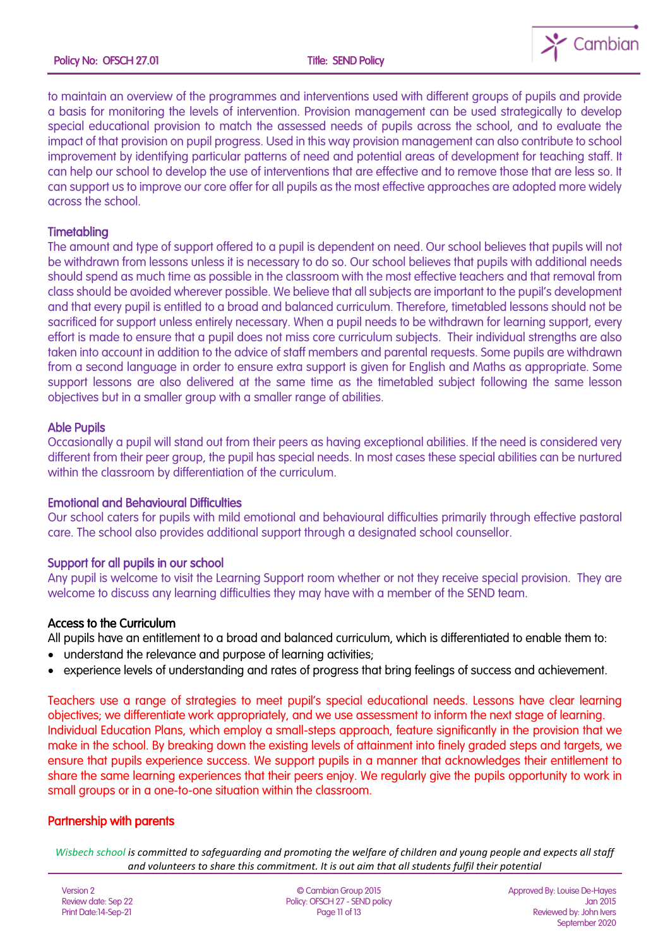

to maintain an overview of the programmes and interventions used with different groups of pupils and provide a basis for monitoring the levels of intervention. Provision management can be used strategically to develop special educational provision to match the assessed needs of pupils across the school, and to evaluate the impact of that provision on pupil progress. Used in this way provision management can also contribute to school improvement by identifying particular patterns of need and potential areas of development for teaching staff. It can help our school to develop the use of interventions that are effective and to remove those that are less so. It can support us to improve our core offer for all pupils as the most effective approaches are adopted more widely across the school.

## **Timetabling**

The amount and type of support offered to a pupil is dependent on need. Our school believes that pupils will not be withdrawn from lessons unless it is necessary to do so. Our school believes that pupils with additional needs should spend as much time as possible in the classroom with the most effective teachers and that removal from class should be avoided wherever possible. We believe that all subjects are important to the pupil's development and that every pupil is entitled to a broad and balanced curriculum. Therefore, timetabled lessons should not be sacrificed for support unless entirely necessary. When a pupil needs to be withdrawn for learning support, every effort is made to ensure that a pupil does not miss core curriculum subjects. Their individual strengths are also taken into account in addition to the advice of staff members and parental requests. Some pupils are withdrawn from a second language in order to ensure extra support is given for English and Maths as appropriate. Some support lessons are also delivered at the same time as the timetabled subject following the same lesson objectives but in a smaller group with a smaller range of abilities.

## Able Pupils

Occasionally a pupil will stand out from their peers as having exceptional abilities. If the need is considered very different from their peer group, the pupil has special needs. In most cases these special abilities can be nurtured within the classroom by differentiation of the curriculum.

#### Emotional and Behavioural Difficulties

Our school caters for pupils with mild emotional and behavioural difficulties primarily through effective pastoral care. The school also provides additional support through a designated school counsellor.

## Support for all pupils in our school

Any pupil is welcome to visit the Learning Support room whether or not they receive special provision. They are welcome to discuss any learning difficulties they may have with a member of the SEND team.

## Access to the Curriculum

All pupils have an entitlement to a broad and balanced curriculum, which is differentiated to enable them to:

- understand the relevance and purpose of learning activities;
- experience levels of understanding and rates of progress that bring feelings of success and achievement.

Teachers use a range of strategies to meet pupil's special educational needs. Lessons have clear learning objectives; we differentiate work appropriately, and we use assessment to inform the next stage of learning. Individual Education Plans, which employ a small-steps approach, feature significantly in the provision that we make in the school. By breaking down the existing levels of attainment into finely graded steps and targets, we ensure that pupils experience success. We support pupils in a manner that acknowledges their entitlement to share the same learning experiences that their peers enjoy. We regularly give the pupils opportunity to work in small groups or in a one-to-one situation within the classroom.

## Partnership with parents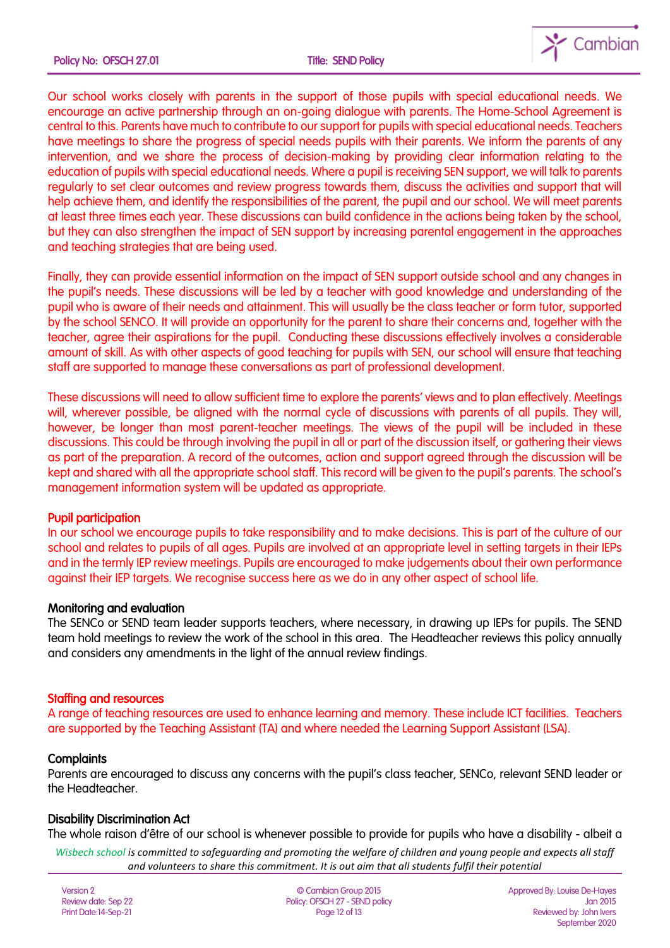

Our school works closely with parents in the support of those pupils with special educational needs. We encourage an active partnership through an on-going dialogue with parents. The Home-School Agreement is central to this. Parents have much to contribute to our support for pupils with special educational needs. Teachers have meetings to share the progress of special needs pupils with their parents. We inform the parents of any intervention, and we share the process of decision-making by providing clear information relating to the education of pupils with special educational needs. Where a pupil is receiving SEN support, we will talk to parents regularly to set clear outcomes and review progress towards them, discuss the activities and support that will help achieve them, and identify the responsibilities of the parent, the pupil and our school. We will meet parents at least three times each year. These discussions can build confidence in the actions being taken by the school, but they can also strengthen the impact of SEN support by increasing parental engagement in the approaches and teaching strategies that are being used.

Finally, they can provide essential information on the impact of SEN support outside school and any changes in the pupil's needs. These discussions will be led by a teacher with good knowledge and understanding of the pupil who is aware of their needs and attainment. This will usually be the class teacher or form tutor, supported by the school SENCO. It will provide an opportunity for the parent to share their concerns and, together with the teacher, agree their aspirations for the pupil. Conducting these discussions effectively involves a considerable amount of skill. As with other aspects of good teaching for pupils with SEN, our school will ensure that teaching staff are supported to manage these conversations as part of professional development.

These discussions will need to allow sufficient time to explore the parents' views and to plan effectively. Meetings will, wherever possible, be aligned with the normal cycle of discussions with parents of all pupils. They will, however, be longer than most parent-teacher meetings. The views of the pupil will be included in these discussions. This could be through involving the pupil in all or part of the discussion itself, or gathering their views as part of the preparation. A record of the outcomes, action and support agreed through the discussion will be kept and shared with all the appropriate school staff. This record will be given to the pupil's parents. The school's management information system will be updated as appropriate.

#### Pupil participation

In our school we encourage pupils to take responsibility and to make decisions. This is part of the culture of our school and relates to pupils of all ages. Pupils are involved at an appropriate level in setting targets in their IEPs and in the termly IEP review meetings. Pupils are encouraged to make judgements about their own performance against their IEP targets. We recognise success here as we do in any other aspect of school life.

#### Monitoring and evaluation

The SENCo or SEND team leader supports teachers, where necessary, in drawing up IEPs for pupils. The SEND team hold meetings to review the work of the school in this area. The Headteacher reviews this policy annually and considers any amendments in the light of the annual review findings.

#### Staffing and resources

A range of teaching resources are used to enhance learning and memory. These include ICT facilities. Teachers are supported by the Teaching Assistant (TA) and where needed the Learning Support Assistant (LSA).

#### **Complaints**

Parents are encouraged to discuss any concerns with the pupil's class teacher, SENCo, relevant SEND leader or the Headteacher.

## Disability Discrimination Act

The whole raison d'être of our school is whenever possible to provide for pupils who have a disability - albeit a